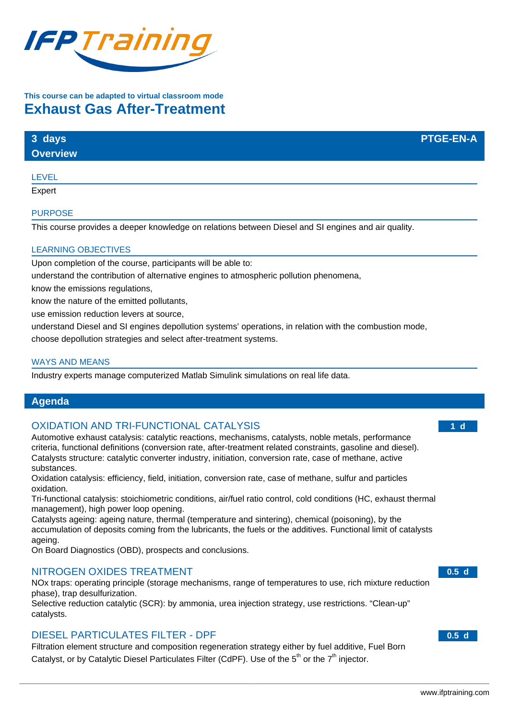

# **This course can be adapted to virtual classroom mode Exhaust Gas After-Treatment**

| 3 days          | <b>PTGE-EN-A</b> |
|-----------------|------------------|
| <b>Overview</b> |                  |
|                 |                  |

#### LEVEL

**Expert** 

#### PURPOSE

This course provides a deeper knowledge on relations between Diesel and SI engines and air quality.

## LEARNING OBJECTIVES

Upon completion of the course, participants will be able to:

understand the contribution of alternative engines to atmospheric pollution phenomena,

know the emissions regulations,

know the nature of the emitted pollutants,

use emission reduction levers at source,

understand Diesel and SI engines depollution systems' operations, in relation with the combustion mode, choose depollution strategies and select after-treatment systems.

#### WAYS AND MEANS

Industry experts manage computerized Matlab Simulink simulations on real life data.

## **Agenda**

## OXIDATION AND TRI-FUNCTIONAL CATALYSIS

Automotive exhaust catalysis: catalytic reactions, mechanisms, catalysts, noble metals, performance criteria, functional definitions (conversion rate, after-treatment related constraints, gasoline and diesel). Catalysts structure: catalytic converter industry, initiation, conversion rate, case of methane, active substances.

Oxidation catalysis: efficiency, field, initiation, conversion rate, case of methane, sulfur and particles oxidation.

Tri-functional catalysis: stoichiometric conditions, air/fuel ratio control, cold conditions (HC, exhaust thermal management), high power loop opening.

Catalysts ageing: ageing nature, thermal (temperature and sintering), chemical (poisoning), by the accumulation of deposits coming from the lubricants, the fuels or the additives. Functional limit of catalysts ageing.

On Board Diagnostics (OBD), prospects and conclusions.

## NITROGEN OXIDES TREATMENT

NOx traps: operating principle (storage mechanisms, range of temperatures to use, rich mixture reduction phase), trap desulfurization.

Selective reduction catalytic (SCR): by ammonia, urea injection strategy, use restrictions. "Clean-up" catalysts.

## DIESEL PARTICULATES FILTER - DPF

Filtration element structure and composition regeneration strategy either by fuel additive, Fuel Born Catalyst, or by Catalytic Diesel Particulates Filter (CdPF). Use of the  $5<sup>th</sup>$  or the  $7<sup>th</sup>$  injector.

**1 d**

**0.5 d**

**0.5 d**

#### [www.ifptraining.com](http://www.ifptraining.com/)